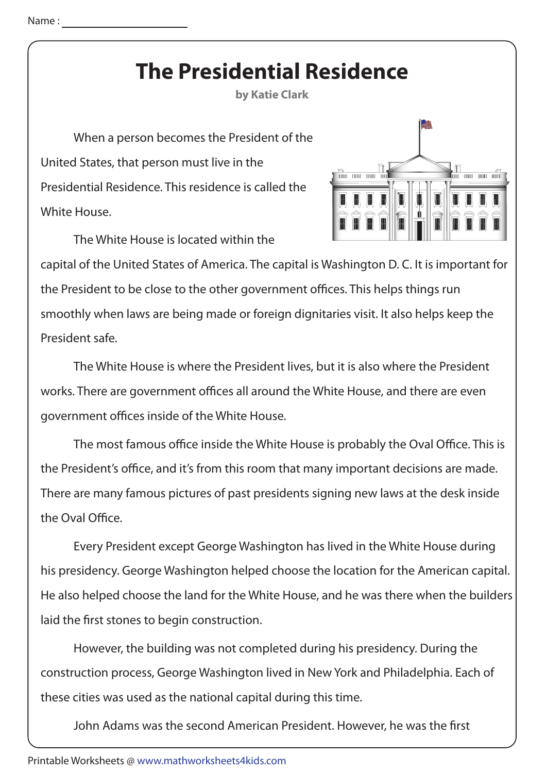## **The Presidential Residence**

**by Katie Clark**

 When a person becomes the President of the United States, that person must live in the Presidential Residence. This residence is called the White House.

The White House is located within the



capital of the United States of America. The capital is Washington D. C. It is important for the President to be close to the other government offices. This helps things run smoothly when laws are being made or foreign dignitaries visit. It also helps keep the President safe.

 The White House is where the President lives, but it is also where the President works. There are government offices all around the White House, and there are even government offices inside of the White House.

The most famous office inside the White House is probably the Oval Office. This is the President's office, and it's from this room that many important decisions are made. There are many famous pictures of past presidents signing new laws at the desk inside the Oval Office.

 Every President except George Washington has lived in the White House during his presidency. George Washington helped choose the location for the American capital. He also helped choose the land for the White House, and he was there when the builders laid the first stones to begin construction.

 However, the building was not completed during his presidency. During the construction process, George Washington lived in New York and Philadelphia. Each of these cities was used as the national capital during this time.

John Adams was the second American President. However, he was the first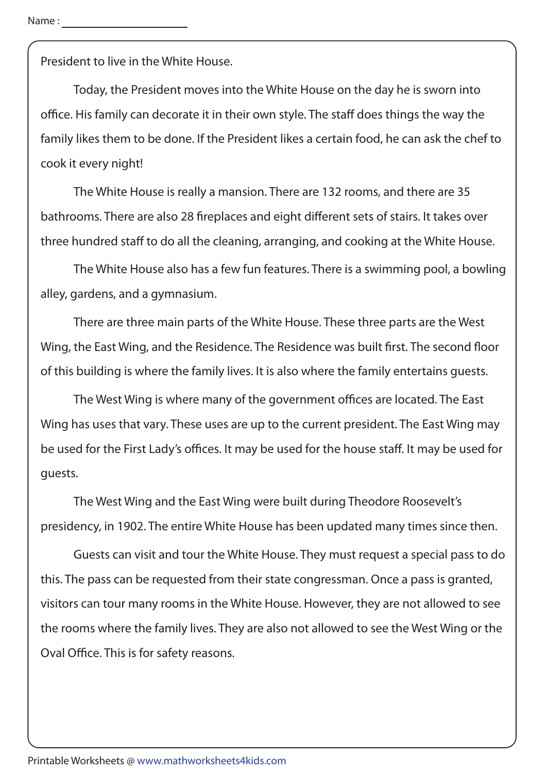President to live in the White House.

 Today, the President moves into the White House on the day he is sworn into office. His family can decorate it in their own style. The staff does things the way the family likes them to be done. If the President likes a certain food, he can ask the chef to cook it every night!

 The White House is really a mansion. There are 132 rooms, and there are 35 bathrooms. There are also 28 fireplaces and eight different sets of stairs. It takes over three hundred staff to do all the cleaning, arranging, and cooking at the White House.

 The White House also has a few fun features. There is a swimming pool, a bowling alley, gardens, and a gymnasium.

 There are three main parts of the White House. These three parts are the West Wing, the East Wing, and the Residence. The Residence was built first. The second floor of this building is where the family lives. It is also where the family entertains guests.

The West Wing is where many of the government offices are located. The East Wing has uses that vary. These uses are up to the current president. The East Wing may be used for the First Lady's offices. It may be used for the house staff. It may be used for guests.

 The West Wing and the East Wing were built during Theodore Roosevelt's presidency, in 1902. The entire White House has been updated many times since then.

 Guests can visit and tour the White House. They must request a special pass to do this. The pass can be requested from their state congressman. Once a pass is granted, visitors can tour many rooms in the White House. However, they are not allowed to see the rooms where the family lives. They are also not allowed to see the West Wing or the Oval Office. This is for safety reasons.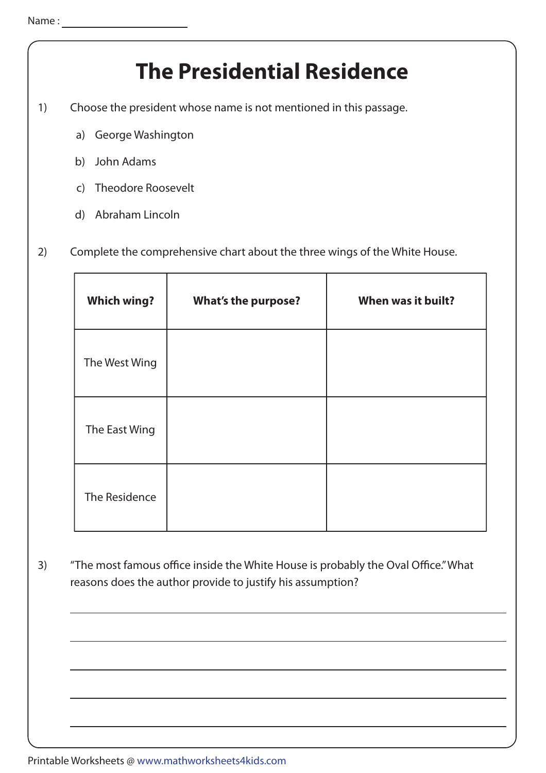## **The Presidential Residence**

- 1) Choose the president whose name is not mentioned in this passage.
	- a) George Washington
	- b) John Adams
	- c) Theodore Roosevelt
	- d) Abraham Lincoln
- 2) Complete the comprehensive chart about the three wings of the White House.

| <b>Which wing?</b> | <b>What's the purpose?</b> | When was it built? |
|--------------------|----------------------------|--------------------|
| The West Wing      |                            |                    |
| The East Wing      |                            |                    |
| The Residence      |                            |                    |

3) "The most famous office inside the White House is probably the Oval Office." What reasons does the author provide to justify his assumption?

Printable Worksheets @ www.mathworksheets4kids.com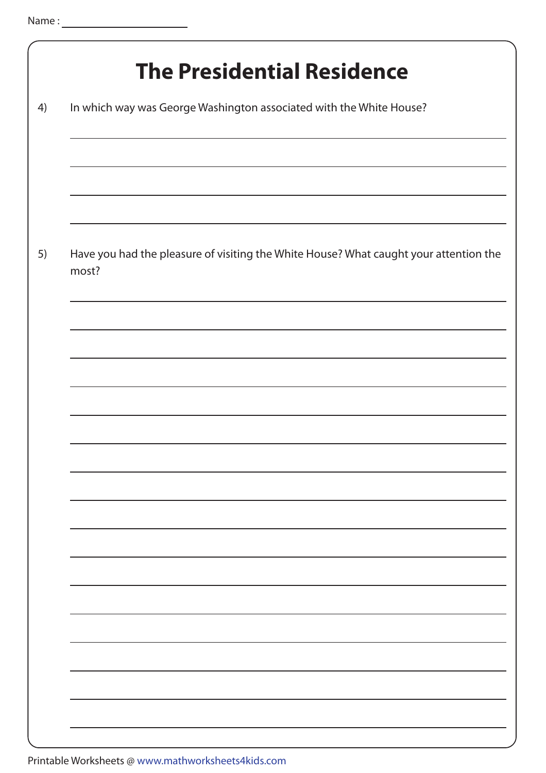| <b>The Presidential Residence</b>                                                                                                                                                                                             |  |  |  |
|-------------------------------------------------------------------------------------------------------------------------------------------------------------------------------------------------------------------------------|--|--|--|
| In which way was George Washington associated with the White House?                                                                                                                                                           |  |  |  |
|                                                                                                                                                                                                                               |  |  |  |
|                                                                                                                                                                                                                               |  |  |  |
| Have you had the pleasure of visiting the White House? What caught your attention the<br>most?                                                                                                                                |  |  |  |
|                                                                                                                                                                                                                               |  |  |  |
|                                                                                                                                                                                                                               |  |  |  |
| the control of the control of the control of the control of the control of the control of the control of the control of the control of the control of the control of the control of the control of the control of the control |  |  |  |
|                                                                                                                                                                                                                               |  |  |  |
|                                                                                                                                                                                                                               |  |  |  |
|                                                                                                                                                                                                                               |  |  |  |
|                                                                                                                                                                                                                               |  |  |  |
|                                                                                                                                                                                                                               |  |  |  |
|                                                                                                                                                                                                                               |  |  |  |
|                                                                                                                                                                                                                               |  |  |  |
|                                                                                                                                                                                                                               |  |  |  |
|                                                                                                                                                                                                                               |  |  |  |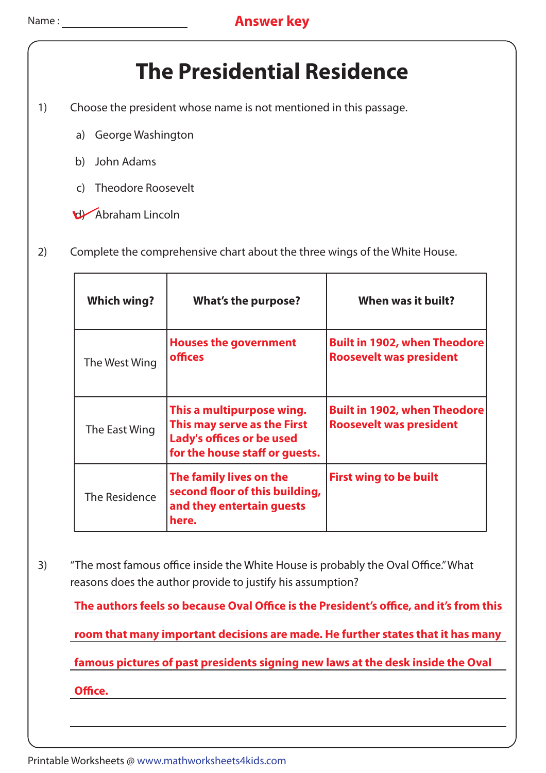## **The Presidential Residence**

- 1) Choose the president whose name is not mentioned in this passage.
	- a) George Washington
	- b) John Adams
	- c) Theodore Roosevelt

d) Abraham Lincoln

2) Complete the comprehensive chart about the three wings of the White House.

| Which wing?   | <b>What's the purpose?</b>                                                                                              | When was it built?                                                    |
|---------------|-------------------------------------------------------------------------------------------------------------------------|-----------------------------------------------------------------------|
| The West Wing | <b>Houses the government</b><br>offices                                                                                 | <b>Built in 1902, when Theodore</b><br><b>Roosevelt was president</b> |
| The East Wing | This a multipurpose wing.<br>This may serve as the First<br>Lady's offices or be used<br>for the house staff or guests. | <b>Built in 1902, when Theodore</b><br><b>Roosevelt was president</b> |
| The Residence | The family lives on the<br>second floor of this building,<br>and they entertain guests<br>here.                         | <b>First wing to be built</b>                                         |

3) "The most famous office inside the White House is probably the Oval Office." What reasons does the author provide to justify his assumption?

The authors feels so because Oval Office is the President's office, and it's from this

**room that many important decisions are made. He further states that it has many**

**famous pictures of past presidents signing new laws at the desk inside the Oval**

**Office.** 

Printable Worksheets @ www.mathworksheets4kids.com